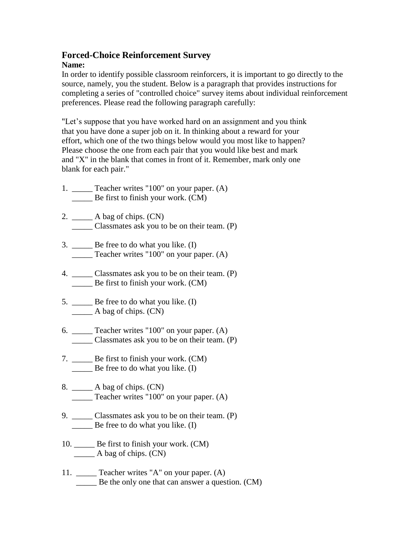## **Forced-Choice Reinforcement Survey Name:**

In order to identify possible classroom reinforcers, it is important to go directly to the source, namely, you the student. Below is a paragraph that provides instructions for completing a series of "controlled choice" survey items about individual reinforcement preferences. Please read the following paragraph carefully:

"Let's suppose that you have worked hard on an assignment and you think that you have done a super job on it. In thinking about a reward for your effort, which one of the two things below would you most like to happen? Please choose the one from each pair that you would like best and mark and "X" in the blank that comes in front of it. Remember, mark only one blank for each pair."

- 1. \_\_\_\_\_ Teacher writes "100" on your paper. (A) \_\_\_\_\_ Be first to finish your work. (CM)
- 2. \_\_\_\_\_ A bag of chips. (CN) \_\_\_\_\_ Classmates ask you to be on their team. (P)
- 3. \_\_\_\_\_ Be free to do what you like. (I) \_\_\_\_\_ Teacher writes "100" on your paper. (A)
- 4. \_\_\_\_\_ Classmates ask you to be on their team. (P) \_\_\_\_\_ Be first to finish your work. (CM)
- 5. \_\_\_\_\_\_ Be free to do what you like. (I) \_\_\_\_\_ A bag of chips. (CN)
- 6.  $\qquad$  Teacher writes "100" on your paper. (A) \_\_\_\_\_ Classmates ask you to be on their team. (P)
- 7. \_\_\_\_\_ Be first to finish your work. (CM) \_\_\_\_\_ Be free to do what you like. (I)
- 8. \_\_\_\_\_ A bag of chips. (CN) \_\_\_\_\_ Teacher writes "100" on your paper. (A)
- 9. \_\_\_\_\_\_ Classmates ask you to be on their team. (P) \_\_\_\_\_ Be free to do what you like. (I)
- 10. \_\_\_\_\_ Be first to finish your work. (CM)  $\qquad$  A bag of chips. (CN)
- 11. \_\_\_\_\_ Teacher writes "A" on your paper. (A) \_\_\_\_\_ Be the only one that can answer a question. (CM)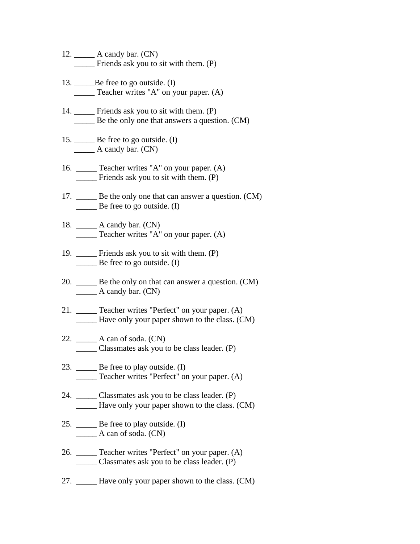- 12.  $\_\_\_\_\_\$  A candy bar. (CN) \_\_\_\_\_ Friends ask you to sit with them. (P)
- 13. \_\_\_\_\_\_\_Be free to go outside. (I) \_\_\_\_\_ Teacher writes "A" on your paper. (A)
- 14. \_\_\_\_\_ Friends ask you to sit with them. (P) \_\_\_\_\_ Be the only one that answers a question. (CM)
- 15. \_\_\_\_\_\_ Be free to go outside. (I)  $\qquad \qquad$  A candy bar. (CN)
- 16. \_\_\_\_\_ Teacher writes "A" on your paper. (A) \_\_\_\_\_ Friends ask you to sit with them. (P)
- 17. Be the only one that can answer a question. (CM) Be free to go outside.  $(I)$
- 18. \_\_\_\_\_ A candy bar. (CN) \_\_\_\_\_ Teacher writes "A" on your paper. (A)
- 19. \_\_\_\_\_ Friends ask you to sit with them. (P) \_\_\_\_\_ Be free to go outside. (I)
- 20. \_\_\_\_\_ Be the only on that can answer a question. (CM)  $\qquad \qquad$  A candy bar. (CN)
- 21. \_\_\_\_\_ Teacher writes "Perfect" on your paper. (A) \_\_\_\_\_ Have only your paper shown to the class. (CM)
- 22. \_\_\_\_\_ A can of soda. (CN) \_\_\_\_\_ Classmates ask you to be class leader. (P)
- 23. \_\_\_\_\_\_ Be free to play outside. (I) \_\_\_\_\_ Teacher writes "Perfect" on your paper. (A)
- 24. \_\_\_\_\_ Classmates ask you to be class leader. (P) \_\_\_\_\_ Have only your paper shown to the class. (CM)
- 25. \_\_\_\_\_\_ Be free to play outside. (I)  $\_\_\_\_\_\$  A can of soda.  $(CN)$
- 26. \_\_\_\_\_ Teacher writes "Perfect" on your paper. (A) \_\_\_\_\_ Classmates ask you to be class leader. (P)
- 27. \_\_\_\_\_ Have only your paper shown to the class. (CM)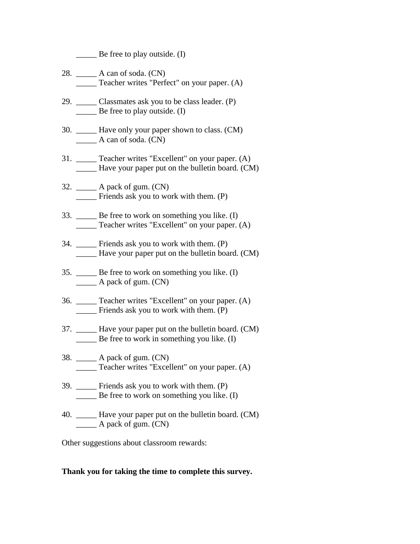$\qquad$  Be free to play outside. (I)

- 28. \_\_\_\_\_ A can of soda. (CN) \_\_\_\_\_ Teacher writes "Perfect" on your paper. (A)
- 29. \_\_\_\_\_ Classmates ask you to be class leader. (P) \_\_\_\_\_ Be free to play outside. (I)
- 30. \_\_\_\_\_ Have only your paper shown to class. (CM) \_\_\_\_\_ A can of soda. (CN)
- 31. \_\_\_\_\_ Teacher writes "Excellent" on your paper. (A) \_\_\_\_\_ Have your paper put on the bulletin board. (CM)
- 32. \_\_\_\_\_ A pack of gum. (CN) \_\_\_\_\_ Friends ask you to work with them. (P)
- 33. \_\_\_\_\_ Be free to work on something you like. (I) \_\_\_\_\_ Teacher writes "Excellent" on your paper. (A)
- 34. \_\_\_\_\_ Friends ask you to work with them. (P) Have your paper put on the bulletin board. (CM)
- 35. \_\_\_\_\_ Be free to work on something you like. (I)  $\_\_\_\_\$  A pack of gum. (CN)
- 36. \_\_\_\_\_ Teacher writes "Excellent" on your paper. (A) Friends ask you to work with them. (P)
- 37. \_\_\_\_\_ Have your paper put on the bulletin board. (CM) \_\_\_\_\_ Be free to work in something you like. (I)
- 38. \_\_\_\_\_ A pack of gum. (CN) \_\_\_\_\_ Teacher writes "Excellent" on your paper. (A)
- 39. \_\_\_\_\_ Friends ask you to work with them. (P) \_\_\_\_\_ Be free to work on something you like. (I)
- 40. \_\_\_\_\_ Have your paper put on the bulletin board. (CM) A pack of gum. (CN)

Other suggestions about classroom rewards:

## **Thank you for taking the time to complete this survey.**